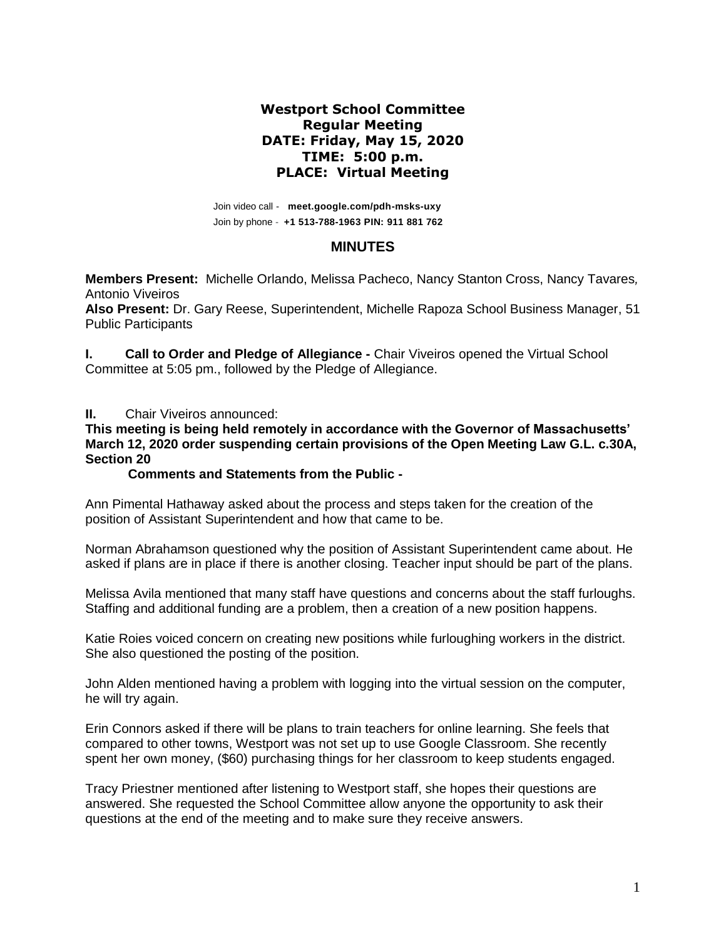## **Westport School Committee Regular Meeting DATE: Friday, May 15, 2020 TIME: 5:00 p.m. PLACE: Virtual Meeting**

Join video call - **meet.google.com/pdh-msks-uxy** Join by phone - **+1 513-788-1963 PIN: 911 881 762**

### **MINUTES**

**Members Present:** Michelle Orlando, Melissa Pacheco, Nancy Stanton Cross, Nancy Tavares*,*  Antonio Viveiros

**Also Present:** Dr. Gary Reese, Superintendent, Michelle Rapoza School Business Manager, 51 Public Participants

**I.** Call to Order and Pledge of Allegiance - Chair Viveiros opened the Virtual School Committee at 5:05 pm., followed by the Pledge of Allegiance.

### **II.** Chair Viveiros announced:

**This meeting is being held remotely in accordance with the Governor of Massachusetts' March 12, 2020 order suspending certain provisions of the Open Meeting Law G.L. c.30A, Section 20**

#### **Comments and Statements from the Public -**

Ann Pimental Hathaway asked about the process and steps taken for the creation of the position of Assistant Superintendent and how that came to be.

Norman Abrahamson questioned why the position of Assistant Superintendent came about. He asked if plans are in place if there is another closing. Teacher input should be part of the plans.

Melissa Avila mentioned that many staff have questions and concerns about the staff furloughs. Staffing and additional funding are a problem, then a creation of a new position happens.

Katie Roies voiced concern on creating new positions while furloughing workers in the district. She also questioned the posting of the position.

John Alden mentioned having a problem with logging into the virtual session on the computer, he will try again.

Erin Connors asked if there will be plans to train teachers for online learning. She feels that compared to other towns, Westport was not set up to use Google Classroom. She recently spent her own money, (\$60) purchasing things for her classroom to keep students engaged.

Tracy Priestner mentioned after listening to Westport staff, she hopes their questions are answered. She requested the School Committee allow anyone the opportunity to ask their questions at the end of the meeting and to make sure they receive answers.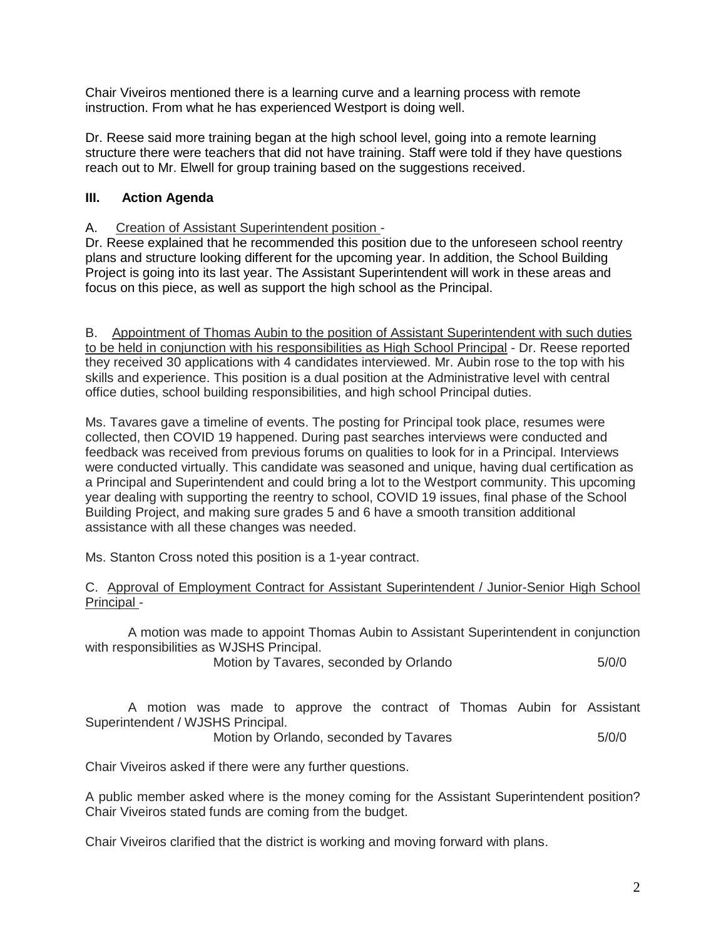Chair Viveiros mentioned there is a learning curve and a learning process with remote instruction. From what he has experienced Westport is doing well.

Dr. Reese said more training began at the high school level, going into a remote learning structure there were teachers that did not have training. Staff were told if they have questions reach out to Mr. Elwell for group training based on the suggestions received.

# **III. Action Agenda**

## A.Creation of Assistant Superintendent position -

Dr. Reese explained that he recommended this position due to the unforeseen school reentry plans and structure looking different for the upcoming year. In addition, the School Building Project is going into its last year. The Assistant Superintendent will work in these areas and focus on this piece, as well as support the high school as the Principal.

B. Appointment of Thomas Aubin to the position of Assistant Superintendent with such duties to be held in conjunction with his responsibilities as High School Principal - Dr. Reese reported they received 30 applications with 4 candidates interviewed. Mr. Aubin rose to the top with his skills and experience. This position is a dual position at the Administrative level with central office duties, school building responsibilities, and high school Principal duties.

Ms. Tavares gave a timeline of events. The posting for Principal took place, resumes were collected, then COVID 19 happened. During past searches interviews were conducted and feedback was received from previous forums on qualities to look for in a Principal. Interviews were conducted virtually. This candidate was seasoned and unique, having dual certification as a Principal and Superintendent and could bring a lot to the Westport community. This upcoming year dealing with supporting the reentry to school, COVID 19 issues, final phase of the School Building Project, and making sure grades 5 and 6 have a smooth transition additional assistance with all these changes was needed.

Ms. Stanton Cross noted this position is a 1-year contract.

### C. Approval of Employment Contract for Assistant Superintendent / Junior-Senior High School Principal -

A motion was made to appoint Thomas Aubin to Assistant Superintendent in conjunction with responsibilities as WJSHS Principal.

Motion by Tavares, seconded by Orlando 5/0/0

A motion was made to approve the contract of Thomas Aubin for Assistant Superintendent / WJSHS Principal. Motion by Orlando, seconded by Tavares 5/0/0

Chair Viveiros asked if there were any further questions.

A public member asked where is the money coming for the Assistant Superintendent position? Chair Viveiros stated funds are coming from the budget.

Chair Viveiros clarified that the district is working and moving forward with plans.